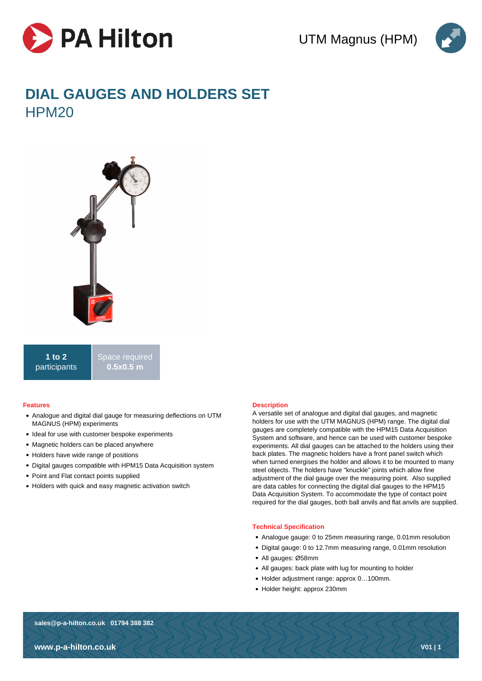



# **DIAL GAUGES AND HOLDERS SET** HPM<sub>20</sub>



**1 to 2** participants Space required **0.5x0.5 m**

#### **Features**

- Analogue and digital dial gauge for measuring deflections on UTM MAGNUS (HPM) experiments
- Ideal for use with customer bespoke experiments
- Magnetic holders can be placed anywhere
- Holders have wide range of positions
- Digital gauges compatible with HPM15 Data Acquisition system
- Point and Flat contact points supplied
- Holders with quick and easy magnetic activation switch

## **Description**

A versatile set of analogue and digital dial gauges, and magnetic holders for use with the UTM MAGNUS (HPM) range. The digital dial gauges are completely compatible with the HPM15 Data Acquisition System and software, and hence can be used with customer bespoke experiments. All dial gauges can be attached to the holders using their back plates. The magnetic holders have a front panel switch which when turned energises the holder and allows it to be mounted to many steel objects. The holders have "knuckle" joints which allow fine adjustment of the dial gauge over the measuring point. Also supplied are data cables for connecting the digital dial gauges to the HPM15 Data Acquisition System. To accommodate the type of contact point required for the dial gauges, both ball anvils and flat anvils are supplied.

#### **Technical Specification**

- Analogue gauge: 0 to 25mm measuring range, 0.01mm resolution
- Digital gauge: 0 to 12.7mm measuring range, 0.01mm resolution
- All gauges: Ø58mm
- All gauges: back plate with lug for mounting to holder
- Holder adjustment range: approx 0…100mm.
- Holder height: approx 230mm

**sales@p-a-hilton.co.uk 01794 388 382**